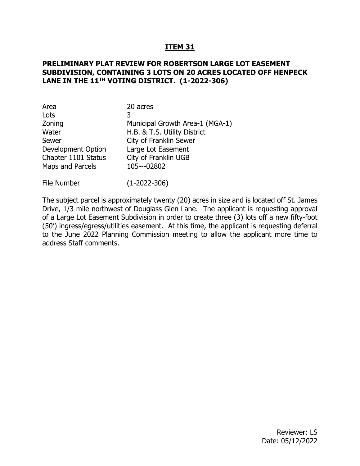### **ITEM 31**

### **PRELIMINARY PLAT REVIEW FOR ROBERTSON LARGE LOT EASEMENT SUBDIVISION, CONTAINING 3 LOTS ON 20 ACRES LOCATED OFF HENPECK LANE IN THE 11TH VOTING DISTRICT. (1-2022-306)**

| Area                      | 20 acres                        |
|---------------------------|---------------------------------|
| Lots                      | 3                               |
| Zoning                    | Municipal Growth Area-1 (MGA-1) |
| Water                     | H.B. & T.S. Utility District    |
| Sewer                     | City of Franklin Sewer          |
| <b>Development Option</b> | Large Lot Easement              |
| Chapter 1101 Status       | City of Franklin UGB            |
| Maps and Parcels          | 105---02802                     |

File Number (1-2022-306)

The subject parcel is approximately twenty (20) acres in size and is located off St. James Drive, 1/3 mile northwest of Douglass Glen Lane. The applicant is requesting approval of a Large Lot Easement Subdivision in order to create three (3) lots off a new fifty-foot (50') ingress/egress/utilities easement. At this time, the applicant is requesting deferral to the June 2022 Planning Commission meeting to allow the applicant more time to address Staff comments.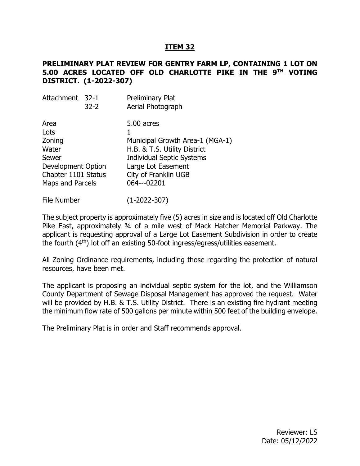## **ITEM 32**

### **PRELIMINARY PLAT REVIEW FOR GENTRY FARM LP, CONTAINING 1 LOT ON 5.00 ACRES LOCATED OFF OLD CHARLOTTE PIKE IN THE 9TH VOTING DISTRICT. (1-2022-307)**

| Attachment 32-1                                                                                           | $32 - 2$ | <b>Preliminary Plat</b><br>Aerial Photograph                                                                                                                                   |
|-----------------------------------------------------------------------------------------------------------|----------|--------------------------------------------------------------------------------------------------------------------------------------------------------------------------------|
| Area<br>Lots<br>Zoning<br>Water<br>Sewer<br>Development Option<br>Chapter 1101 Status<br>Maps and Parcels |          | 5.00 acres<br>Municipal Growth Area-1 (MGA-1)<br>H.B. & T.S. Utility District<br><b>Individual Septic Systems</b><br>Large Lot Easement<br>City of Franklin UGB<br>064---02201 |
|                                                                                                           |          |                                                                                                                                                                                |

File Number (1-2022-307)

The subject property is approximately five (5) acres in size and is located off Old Charlotte Pike East, approximately 3/4 of a mile west of Mack Hatcher Memorial Parkway. The applicant is requesting approval of a Large Lot Easement Subdivision in order to create the fourth (4th) lot off an existing 50-foot ingress/egress/utilities easement.

All Zoning Ordinance requirements, including those regarding the protection of natural resources, have been met.

The applicant is proposing an individual septic system for the lot, and the Williamson County Department of Sewage Disposal Management has approved the request. Water will be provided by H.B. & T.S. Utility District. There is an existing fire hydrant meeting the minimum flow rate of 500 gallons per minute within 500 feet of the building envelope.

The Preliminary Plat is in order and Staff recommends approval.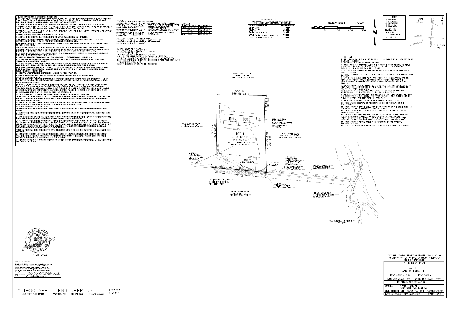W ILLIAMSON COUNTY DEPARTMENT OF SEWAGE DISPOSAL MANAGEMENT NOTES 1. ANY CUTTING, FILLING, COMPACTION, OR DISTURBANCE FROM THEIR NATURAL STATE, OF THE SOIL AREAS RESERVED FOR SEWAGE DISPOSAL, SHALL RESULT IN REVOCATION OF THE LOT APPROVAL. ADDITIONALLY, THE DEPARTMENT SHALL HAVE THE AUTHORITY TO REFUSE TO GRANT A CONSTRUCTION PERMIT OR MAY REVOKE A CONSTRUCTION PERMIT WHERE THE INTEGRITY OF THE PROPOSED SUBSURFACE SEWAGE DISPOSAL AREAS HAS BEEN COMPROMISED. 2. ALL SEPTIC SYSTEMS MUST BE INSTALLED BY AN INSTALLER LICENSED BY WILLIAMSON COUNTY TO CONSTRUCT ALTERNATIVE OR CONVENTIONAL SEPTIC SYSTEMS.

3. NO BATHING FIXTURES EXCEEDING STANDARD CAPACITY (30 U.S. GALLONS), INCLUDING, BUT NOT LIMITED TO OVERSIZED BATHTUBS, SPA-TUBS, HOT TUBS, WHIRLPOOLS, OR JACUZZIS, ETC., SHALL BE ALLOWED UNLESS SPECIFICALLY APPROVED BY THE DEPARTMENT OF SEWAGE DISPOSAL MANAGEMENT. 4. NO UTILITIES (I.E. GAS, WATER, OR ELECTRIC) OR THEIR EASEMENTS, ABOVE OR BELOW GROUND, SHALL BE ALLOWED TO ENCROACH WITHIN 10 FEET OF THE BOUNDARIES OF THE SOIL AREA RESERVED FOR SEWAGE DISPOSAL. 5. CURTAIN/ INTERCEPTOR/ DRAWDOWN DRAINS MAY BE REQUIRED ON ANY OR ALL LOTS.

6. NO CUTTING, FILLING, COMPACTION, OR ANY DISTURBANCE OF THE AREA RESERVED FOR SEWAGE DISPOSAL SHALL BE PERMITTED.

7. THE LIMITS OF ALL EXCAVATION GREATER THAN 18 INCHES IN DEPTH, MADE FOR THE PURPOSE OF HOUSE CONSTRUCTION, (OR ANY OTHER TYPE OF BUILDING CONSTRUCTION), SHALL BE KEPT 25' OR MORE AWAY FROM THE PLATTED OR DESIGNATED SEWAGE DISPOSAL AREAS.

8. THE LIMITS OF ALL EXCAVATIONS, MADE FOR THE PURPOSE OF HOUSE CONSTRUCTION, (OR ANY OTHER TYPE OF CONSTRUCTION) SHALL BE KEPT WITHIN THE CONFINES OF THE PLATTED BUILDING ENVELOPE. 9ALL PARTS OF THE HOUSE AND ANY OF ITS RELATED APPENDAGES (INCLUDING, BUT NOT LIMITED TO DETACHED GARAGES, PORCHES, DECKS, SIDEWALKS, DRIVEWAYS,

PARKING AREA, UTILITIES, ETC.) SHALL STRICTLY ADHERE TO THE MINIMUM SETBACK REQUIREMENTS FROM THE SUBSURFACE SEWAGE DISPOSAL SYSTEM AREAS AS OUTLINED IN SECTION 13 OF THE REGULATIONS GOVERNING ON-SITE SEWAGE DISPOSAL SYSTEMS, ADOPTED MAY 16, 2000, AND EFFECTIVE OCTOBER 1, 2000. 10. NO CONSTRUCTION OF PATIOS, SWIMMING POOLS, ACCESSORY BUILDING, ETC.... SHALL BE ALLOWED ON ANY LOT SERVED BY A SUBSURFACE SEWAGE DISPOSAL SYSTEM, UNLESS APPROVED BY THE DEPARTMENT OF SEWAGE DISPOSAL MANAGEMENT.

11. WATER SERVICE LINES MUST BE SEPARATED FROM SEWAGE DISPOSAL AREAS OR PLATTED DISPOSAL FIELD AREAS BY A MINIMUM OF 10 FEET. 12. NO WATER SOURCE WELLS OR SPRINGS ARE TO BE DRILLED OR CONSTRUCTED WITHIN 50 FEET OF ANY PORTION OR COMPONENT OF THE SEPTIC SYSTEM OR THE DESIGNATED OR PLATTED SEWAGE DISPOSAL FIELD AREAS.

13. NO IRRIGATION SYSTEMS, OR THEIR COMPONENTS THEREOF, SHALL ENCROACH ON, IN, OR WITHIN 10 FEET OF THE BOUNDARIES OF THE DESIGNATED OR PLATTED SSDS AREAS. IT SHALL ALSO BE LOCATED A MINIMUM OF 5 FEET AWAY FROM ANY DRAINAGE IMPROVEMENT PRACTICE ASSOCIATED WITH THE SSDS AREAS. 14. ALL PLATTED SEWAGE DISPOSAL AREAS MUST BE FIELD STAKED BY A LICENSED SURVEYOR AND FENCED OFF, TO PROTECT THE AREAS FROM ALL CONSTRUCTION TRAFFIC, BY THE PROPERTY OWNER OR BUILDING CONTRACTOR. THE AREAS MUST THEN BE FIELD CHECKED AND VERIFIED BY THE DEPARTMENT OF SEWAGE DISPOSAL MANAGEMENT PRIOR TO THE ISSUANCE OF THE SEPTIC PERMIT.

15. LOT 1 GENTRY FARM, LP RESTRICTED TO 1-5 BEDROOM SINGLE FAMILY DWELLING WITH NO OVERSIZED TUBS.

16. DESIGNATED SEWAGE DISPOSAL AREAS PLOTTED IN ACCORDANCE WITH ACCEPTABLE SOIL AREAS FIELD MAPPED BY MIKE HAARBAUER, PRIVATE CONSULTING SOIL SCIENTIST ON 12-23-2020

17. THIS SITE MAY MANDATE THE USE OF A SEWAGE/EFFLUENT PUMP AND APPROPRIATELY SIZED PUMP TANK IN ORDER TO PROVIDE SEWER SERVICES FROM THE HOUSE TO THE SSDS AREAS. THIS SHALL BE SPECIFIED BY THE WILLIAMSON COUNTY DEPARTMENT OF SEWAGE DISPOSAL MANAGEMENT BASED UPON THE FINISHED ELEVATION OF THE HOUSE PLUMBING STUB-OUT AND THE SSDS AREAS.

18. CURTAIN, INTERCEPTOR, AND DRAW-DOWN DRAINS MAY BE REQUIRED ON ALL LOTS. AS SUCH, THEY SHALL STRICTLY ADHERE TO THE DESIGN, LOCATION AND ROUTING DEPICTED ON THIS PLAT. HOWEVER, THE DRAINS AS SHOWN HEREON ARE SUBJECT TO CHANGE AT THE SOLE DISCRETION OF THE WILLIAMSON COUNTY DEPARTMENT OF SENAGE DISPOSAL MANAGEMENT AS DEEMED NECESSARY BY THEIR FIELD INVESTIGATION AT THE TIME OF SUBMITTAL OF EACH INDIVIDUAL LOT'S ALTERNATIVE SYSTEM SITE AND DESIGN PLANS. THE WILLIAMSON COUNTY DEPARTMENT OF SEWAGE DISPOSAL MANAGEMENT'S EVALUATION WILL BE CONDUCTED ON SITE-SPECIFIC, LOT BY LOT BASIS. 19. CON DENOTES THAT THIS LOT IS SERVED BY A CONVENTIONAL SEPTIC SEMAGE DISPOSAL SYSTEM.

20. LPP DENOTES THAT THIS LOT IS SERVED BY A LOW PRESSURE PIPE SYSTEM, WHICH IS AN ALTERNATIVE MEANS OF SEWAGE DISPOSAL.

21. MLPP DENOTES THAT THIS LOT IS SERVED BY A MODIFIED LOW PRESSURE PIPE SYSTEM, WHICH IS AN ALTERNATIVE MEANS OF SEWAGE DISPOSAL. MODIFIED LPP SYSTEMS REQUIRE 6 TO 10 INCHES OF COMPATIBLE SOIL FILL MATERIAL TO BE INCORPORATED ONTO THE DESIGNATED OR PLATTED SEWAGE DISPOSAL AREA, UNDER DEPARTMENT OF SEWAGE DISPOSAL MANAGEMENT SUPERVISION 22. BEFORE A PERMIT TO CONSTRUCT A LPP OR MLPP SEPTIC SYSTEM CAN BE ISSUED, DETAILED SITE AND DESIGN PLANS FOR THE LPP OR MLPP SYSTEM SHALL BE SUBMITTED

TO THE WCDSDM FOR REVIEW AND APPROVAL. THESE PLANS SHALL BE PREPARED BY AN ENGINEER LICENSED IN TENNESSEE. 23. PROPERTY IS SERVED BY H.B. & T.S. UTILITY SYSTEM.

24. PRIOR TO INSTALLATION, THE LOCATION OF THE WELL, SPRING, CISTERN, OR PRIVATE WATER SOURCE MUST BE APPROVED BY THE DEPARTMENT OF SEWAGE DISPOSAL MANAGEMENT 25. LOCATION OF WELL, SPRING, CISTERN, OR PRIVATE WATER SOURCE MUST BE A MINIMUM OF 50 FEET AWAY FROM ANY SEWAGE DISPOSAL AREA, INCLUDING THOSE LOCATED

ON ADJACENT LOTS. 26. EXACT LOCATION OF WATER SOURCE (IE: WELL, CISTERN, SPRING OR PRIVATE WATER SOURCE) MUST BE FIELD LOCATED BY A SURVEYOR OR ENGINEER ON A COPY OF THIS

PLAT AND SUBMITTED TO THE DEPARTMENT OF SEWAGE DISPOSAL MANAGEMENT FOR REVIEW AND RECORD KEEPING PURPOSES. 27. SSDS COMPONENTS CROSSING UTILITIES (AND THEIR RELATED EASEMENTS) IN ADDITION TO DRIVEWAYS, ACCESS EASEMENTS, ETC.; ANY AND ALL SSDS COMPONENTS (INCLUDING BUT NOT LIMITED TO: CURTAIN DRAINS, SEWAGE SUPPLY LINES, MANIFOLDS, ETC.), SHALL BE SHEATHED AND BEDDED (AS PER SPECIFICATIONS FROM WCDSDM) WHERE THEY CROSS ANY DRIVEWAY, ACCESS EASEMENT, UTILITY LINES (AND THEIR RELATED EASEMENTS). THE SHEATHING SHALL EXTEND FROM A POINT 10' PAST THE LIMITS OF ANY EASEMENT. ALL CROSSINGS MUST BE IN ACCORDANCE WITH THE REQUIREMENTS OF THE WILLIAMSON COUNTY DEPARTMENT OF SEWAGE DISPOSAL MANAGEMENT. ALL SHEATHING MUST BE SCHEDULE 80 PVC OR DUCTILE IRON AND BE BEDDED IN 12" OF GRAVEL.

28. THERE SHALL BE NO SEWAGE BEARING CONVEYANCES (PIPES, SUPPLY LINES, MANIFOLDS, SEPTIC, OR PUMP TANKS ETC.) LOCATED WITHIN 50' OF ANY AND ALL WELL (S) ON THIS PROPERTY. 29. BEFORE A PERMIT TO CONSTRUCT A CONVENTIONAL SYSTEM SERVING SINGLE SOURCES WITH A PROJECTED WASTEWATER FLOW RATE EXCEEDING 750 GALLONS PER DAY (GPD), DETAILED SITE AND DESIGN PLANS FOR SAID SYSTEM SHALL BE SUBMITTED TO THE DEPARTMENT OF SEWAGE DISPOSAL MANAGEMENT FOR REVIEW AND APPROVAL.

THESE PLANS SHALL BE PREPARED BY AN ENGINEER LICENSED IN THE STATE OF TENNESSEE 30. ALL PLUMBING FIXTURES ARE TO BE OF THE WATER CONSERVATION TYPE, INCLUDING LOW VOLUME FLUSH TOILETS (1.6 GALLONS OR LESS), 1.5 TO 2.0 GALLONS PER MINUTE SHOWER HEADS AND FAUCET AERATORS.

WNA NOTE: WATERWAY NATURAL AREAS (DESIGNATED NOTE: AS WNA) EXIST ON ALL INTERMITTENT ORAN ARAP PERMIT MUST BE OBTAINED PERENNIAL STREAM WATERWAYS AS DEFINED IN THE WILLIAMSON COUNTY STORM WATER MANAGEMENT REGULATIONS. FOR INFORMATION OR ASSISTANCE IN APPLYING THESE<br>REGULATIONS, PLEASE CONTACT THE WILLIAMSON COUNTY ENGINEERING NATURAL AREA.

DEPARTMENT AT (615) 790-5725.

ADDITIONALLY: WNA: "There shall be no clearing, grading, construction, or disturbance of vegetation except as permitted by the Williamson County Engineering Department.

CANOPY PROTECTION NOTE:<br>PARCEL TOTAL SF = 217,895 SF<br>EXISTING CANOP<u>Y</u> COVERAGE = 17,386 SF CANOPY COVERAGE = 8%<br>MINIMUM CANOPY TO BE PROTECTED = 75% AREA OF POTENTIAL CANOPY DISTURBANCE = 1386 SF (INCLUDES BUILDING ENVELOPES, EXISTING & NEW SEPTIC AREAS EXISTING DRIVEWAYS, EXISTING RESIDENCE & POTENTIAL DRIVEWAYS)  $((1386/17386) \times 100) = 8\%$ 92% OF EXISTING CANOPY TO BE PRESERVED



CERTIFICATE OF ACCURACY hereby certify that the plan shown and described hereon is a true and correct survey to the accuracy required by the Williamson County, Tennessee Regional Planning Commission and that the nonuments have been or will be placed as shown hereon, to the specifications of the Subdivision Regulations, as approved by the County Engineer.

-SQUARE  $|\bigcap$  $\mathsf{U}$  1329 West main street

ENGINEERING FRANKLIN, TN 615-678-8212 www.T2-eng.com

project  $21 - 0736$ 



0400-45-09-.17 GEOTHERMAL WELL CONSTRUCTION STANDARDS FOR CLOSED LOOP GEOTHERMAL BOREHOLES







General notes

1) THE PURPOSE OF THIS PLAT IS TO CREATE 1 LOT SERVED BY AN INGRESS/EGRESS & UTILITY EASEMENT. 2) BEARINGS ARE BASED ON RECORD OF DEED

- 3) THIS SURVEY WAS PREPARED USING THE CURRENT DEEDS OF RECORD. NO TITLE REPORT WAS FURNISHED TO THIS SURVEYOR, THEREFORE, THIS SURVEY IS SUBJECT TO THE FINDINGS OF A TITLE SEARCH.
- 4) ALL DEED BOOK REFERENCES PERTAIN TO REGISTER'S OFFICE OF WILLIAMSON COUNTY. TENNESSEE 5) SUBJECT PROPERTY IS LOCATED IN THE 5TH CIVIL DISTRICT, WILLIAMSON COUNTY,
- 6) UTILITIES AS SHOWN WERE TAKEN FROM VISIBLE FIELD LOCATIONS. UTILITY DETAILS AND PRECISE GROUND LOCATIONS SHOULD BE OBTAINED FROM THE
- PROPER AUTHORITIES BEFORE ANY GROUND DISTURBANCE OR CONSTRUCTION IS 7) NO PORTION OF THIS PROPERTY IS LOCATED IN AN AREA DESIGNATED AS A 100
- YEAR FLOOD ZONE AS EVIDENCED ON FEMA PANEL #47187C0183G OF WILLIAMSON AREA DESIGNATED AS A 500 YEAR FLOOD ZONE AS EVIDENCED ON FEMA PANEL
- #47187C0183G OF WILLIAMSON COUNTY, TN, DATED 12/22/2016. 8) THIS SITE HAS BEEN REVIEWED FOR THE PRESENCE OF STEEP SLOPES, HILLTOPS AND RIDGETOPS, SLIPPAGE SOILS, AND KARST FEATURES. AREAS FALLING WITHIN
- 9) THERE ARE NO SLOPES 15% OR GREATER WITHIN THE SUBDIVISION LOT.
- 10) THERE ARE NO HILLTOPS OR RIDGETOPS WITHIN THE BOUNDARY OF THE
- 11) THERE ARE NO SLIPPAGE SOILS WITHIN THE BOUNDARY OF THE SUBDIVISION AS DETERMINED BY THE WILLIAMSON COUNTY SOIL SURVEY.
- 12) THERE ARE NO KARST FEATURES AS DETERMINED BY THE CURRENT OWNERS' 13) THIS SITE HAS BEEN REVIEWED FOR THE EXISTENCE OF INTERMITTENT AND PERENNIAL STREAMS. STREAMS THAT WOULD REQUIRE WATERWAY NATURAL AREAS AS DESCRIBED IN SECTION 4 OF THE WILLIAMSON COUNTY STORMWATER MANAGEMENT REGULATIONS HAVE BEEN LOCATED AS SHOWN. (SEE WNA NOTE)
- 15) GENERAL SETBACKS ARE: FRONT AND EASEMENT=100'; SIDES=20'; REAR=60'

CURRENT ZONING: MUNICIPAL GROWTH AREA 1, MGA-1 WILLIAMSON COUNTY REGIONAL PLANNING COMMISSION STATE OF TENNESSEE

| PRELIMINARY PLAT                                       |                          |  |  |
|--------------------------------------------------------|--------------------------|--|--|
| 10T <sub>1</sub><br>GENTRY FARM, LP                    |                          |  |  |
| TOTAL ACRES $= 5.00$                                   | TOTAL LOTS $= 1$         |  |  |
| MILES NEW ROADS $=0.00$                                | ACRES NEW ROADS $= 0.00$ |  |  |
| PO PARCEL 22.01 OF MAP 64                              |                          |  |  |
| GENTRY FARM, LP<br>OWNERS:<br>DEED BOOK 1843, PAGE 246 |                          |  |  |
| CIVIL DISTRICT: $5TH$ SCALE: $1" = 100'$               | CLOSURE: $1/15,000$      |  |  |
| DATE: 01/26/2021, REV 04/25/2022<br>SHEET 1 OF 1       |                          |  |  |
|                                                        |                          |  |  |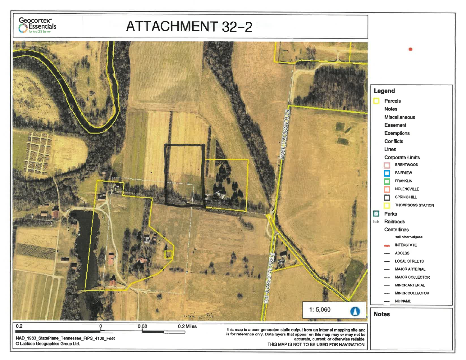